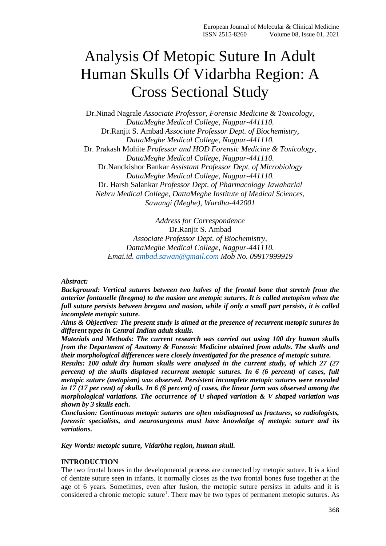# Analysis Of Metopic Suture In Adult Human Skulls Of Vidarbha Region: A Cross Sectional Study

Dr.Ninad Nagrale *Associate Professor, Forensic Medicine & Toxicology, DattaMeghe Medical College, Nagpur-441110.* Dr.Ranjit S. Ambad *Associate Professor Dept. of Biochemistry, DattaMeghe Medical College, Nagpur-441110.* Dr. Prakash Mohite *Professor and HOD Forensic Medicine & Toxicology, DattaMeghe Medical College, Nagpur-441110.* Dr.Nandkishor Bankar *Assistant Professor Dept. of Microbiology DattaMeghe Medical College, Nagpur-441110.* Dr. Harsh Salankar *Professor Dept. of Pharmacology Jawaharlal Nehru Medical College, DattaMeghe Institute of Medical Sciences, Sawangi (Meghe), Wardha-442001*

*Address for Correspondence* Dr.Ranjit S. Ambad *Associate Professor Dept. of Biochemistry, DattaMeghe Medical College, Nagpur-441110. Emai.id. [ambad.sawan@gmail.com](mailto:ambad.sawan@gmail.com) Mob No. 09917999919*

## *Abstract:*

*Background: Vertical sutures between two halves of the frontal bone that stretch from the anterior fontanelle (bregma) to the nasion are metopic sutures. It is called metopism when the full suture persists between bregma and nasion, while if only a small part persists, it is called incomplete metopic suture.*

*Aims & Objectives: The present study is aimed at the presence of recurrent metopic sutures in different types in Central Indian adult skulls.*

*Materials and Methods: The current research was carried out using 100 dry human skulls from the Department of Anatomy & Forensic Medicine obtained from adults. The skulls and their morphological differences were closely investigated for the presence of metopic suture.*

*Results: 100 adult dry human skulls were analysed in the current study, of which 27 (27 percent) of the skulls displayed recurrent metopic sutures. In 6 (6 percent) of cases, full metopic suture (metopism) was observed. Persistent incomplete metopic sutures were revealed in 17 (17 per cent) of skulls. In 6 (6 percent) of cases, the linear form was observed among the morphological variations. The occurrence of U shaped variation & V shaped variation was shown by 3 skulls each.*

*Conclusion: Continuous metopic sutures are often misdiagnosed as fractures, so radiologists, forensic specialists, and neurosurgeons must have knowledge of metopic suture and its variations.*

*Key Words: metopic suture, Vidarbha region, human skull.*

## **INTRODUCTION**

The two frontal bones in the developmental process are connected by metopic suture. It is a kind of dentate suture seen in infants. It normally closes as the two frontal bones fuse together at the age of 6 years. Sometimes, even after fusion, the metopic suture persists in adults and it is considered a chronic metopic suture<sup>1</sup>. There may be two types of permanent metopic sutures. As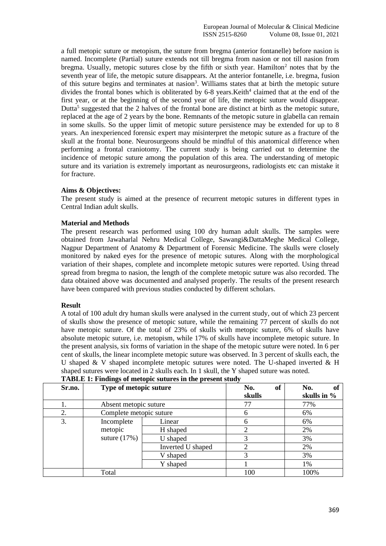a full metopic suture or metopism, the suture from bregma (anterior fontanelle) before nasion is named. Incomplete (Partial) suture extends not till bregma from nasion or not till nasion from bregma. Usually, metopic sutures close by the fifth or sixth year. Hamilton<sup>2</sup> notes that by the seventh year of life, the metopic suture disappears. At the anterior fontanelle, i.e. bregma, fusion of this suture begins and terminates at nasion<sup>3</sup>. Williams states that at birth the metopic suture divides the frontal bones which is obliterated by  $6-8$  years. Keith<sup>4</sup> claimed that at the end of the first year, or at the beginning of the second year of life, the metopic suture would disappear. Dutta<sup>5</sup> suggested that the 2 halves of the frontal bone are distinct at birth as the metopic suture, replaced at the age of 2 years by the bone. Remnants of the metopic suture in glabella can remain in some skulls. So the upper limit of metopic suture persistence may be extended for up to 8 years. An inexperienced forensic expert may misinterpret the metopic suture as a fracture of the skull at the frontal bone. Neurosurgeons should be mindful of this anatomical difference when performing a frontal craniotomy. The current study is being carried out to determine the incidence of metopic suture among the population of this area. The understanding of metopic suture and its variation is extremely important as neurosurgeons, radiologists etc can mistake it for fracture.

## **Aims & Objectives:**

The present study is aimed at the presence of recurrent metopic sutures in different types in Central Indian adult skulls.

### **Material and Methods**

The present research was performed using 100 dry human adult skulls. The samples were obtained from Jawaharlal Nehru Medical College, Sawangi&DattaMeghe Medical College, Nagpur Department of Anatomy & Department of Forensic Medicine. The skulls were closely monitored by naked eyes for the presence of metopic sutures. Along with the morphological variation of their shapes, complete and incomplete metopic sutures were reported. Using thread spread from bregma to nasion, the length of the complete metopic suture was also recorded. The data obtained above was documented and analysed properly. The results of the present research have been compared with previous studies conducted by different scholars.

#### **Result**

A total of 100 adult dry human skulls were analysed in the current study, out of which 23 percent of skulls show the presence of metopic suture, while the remaining 77 percent of skulls do not have metopic suture. Of the total of 23% of skulls with metopic suture, 6% of skulls have absolute metopic suture, i.e. metopism, while 17% of skulls have incomplete metopic suture. In the present analysis, six forms of variation in the shape of the metopic suture were noted. In 6 per cent of skulls, the linear incomplete metopic suture was observed. In 3 percent of skulls each, the U shaped & V shaped incomplete metopic sutures were noted. The U-shaped inverted & H shaped sutures were located in 2 skulls each. In 1 skull, the Y shaped suture was noted.

| Sr.no. | o<br>Type of metopic suture |                   | No.<br>of | No.<br>of   |
|--------|-----------------------------|-------------------|-----------|-------------|
|        |                             |                   | skulls    | skulls in % |
|        | Absent metopic suture       |                   |           | 77%         |
| 2.     | Complete metopic suture     |                   | 6         | 6%          |
| 3.     | Incomplete                  | Linear            | 6         | 6%          |
|        | metopic                     | H shaped          |           | 2%          |
|        | suture $(17%)$              | U shaped          | 3         | 3%          |
|        |                             | Inverted U shaped |           | 2%          |
|        |                             | V shaped          | 3         | 3%          |
|        |                             | Y shaped          |           | 1%          |
|        | Total                       |                   | 100       | 100%        |

#### **TABLE 1: Findings of metopic sutures in the present study**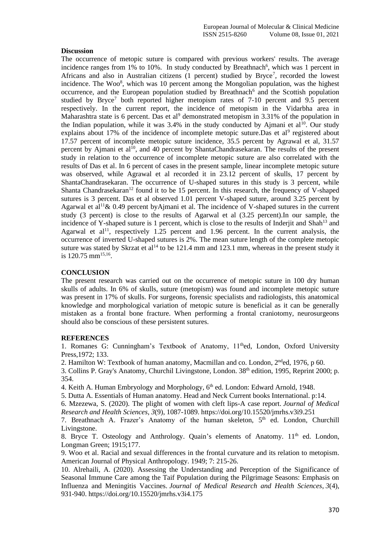## **Discussion**

The occurrence of metopic suture is compared with previous workers' results. The average incidence ranges from 1% to 10%. In study conducted by Breathnach<sup>6</sup>, which was 1 percent in Africans and also in Australian citizens (1 percent) studied by Bryce<sup>7</sup>, recorded the lowest incidence. The Woo<sup>8</sup>, which was 10 percent among the Mongolian population, was the highest occurrence, and the European population studied by Breathnach<sup>6</sup> and the Scottish population studied by Bryce<sup>7</sup> both reported higher metopism rates of  $7-10$  percent and  $9.5$  percent respectively. In the current report, the incidence of metopism in the Vidarbha area in Maharashtra state is 6 percent. Das et al<sup>9</sup> demonstrated metopism in 3.31% of the population in the Indian population, while it was  $3.4\%$  in the study conducted by Ajmani et al<sup>10</sup>. Our study explains about 17% of the incidence of incomplete metopic suture. Das et al<sup>9</sup> registered about 17.57 percent of incomplete metopic suture incidence, 35.5 percent by Agrawal et al, 31.57 percent by Ajmani et al<sup>10</sup>, and 40 percent by ShantaChandrasekaran. The results of the present study in relation to the occurrence of incomplete metopic suture are also correlated with the results of Das et al. In 6 percent of cases in the present sample, linear incomplete metopic suture was observed, while Agrawal et al recorded it in 23.12 percent of skulls, 17 percent by ShantaChandrasekaran. The occurrence of U-shaped sutures in this study is 3 percent, while Shanta Chandrasekaran<sup>12</sup> found it to be 15 percent. In this research, the frequency of V-shaped sutures is 3 percent. Das et al observed 1.01 percent V-shaped suture, around 3.25 percent by Agarwal et al<sup>11</sup> & 0.49 percent byAjmani et al. The incidence of V-shaped sutures in the current study (3 percent) is close to the results of Agarwal et al (3.25 percent).In our sample, the incidence of Y-shaped suture is 1 percent, which is close to the results of Inderjit and Shah<sup>13</sup> and Agarwal et  $al<sup>11</sup>$ , respectively 1.25 percent and 1.96 percent. In the current analysis, the occurrence of inverted U-shaped sutures is 2%. The mean suture length of the complete metopic suture was stated by Skrzat et al<sup>14</sup> to be 121.4 mm and 123.1 mm, whereas in the present study it is  $120.75 \text{ mm}^{15,16}$ .

## **CONCLUSION**

The present research was carried out on the occurrence of metopic suture in 100 dry human skulls of adults. In 6% of skulls, suture (metopism) was found and incomplete metopic suture was present in 17% of skulls. For surgeons, forensic specialists and radiologists, this anatomical knowledge and morphological variation of metopic suture is beneficial as it can be generally mistaken as a frontal bone fracture. When performing a frontal craniotomy, neurosurgeons should also be conscious of these persistent sutures.

## **REFERENCES**

1. Romanes G: Cunningham's Textbook of Anatomy, 11<sup>th</sup>ed, London, Oxford University Press,1972; 133.

2. Hamilton W: Textbook of human anatomy, Macmillan and co. London, 2<sup>nd</sup>ed, 1976, p 60.

3. Collins P. Gray's Anatomy, Churchil Livingstone, London. 38<sup>th</sup> edition, 1995, Reprint 2000; p. 354.

4. Keith A. Human Embryology and Morphology, 6<sup>th</sup> ed. London: Edward Arnold, 1948.

5. Dutta A. Essentials of Human anatomy. Head and Neck Current books International. p:14.

6. Mzezewa, S. (2020). The plight of women with cleft lips-A case report. *Journal of Medical Research and Health Sciences*, *3*(9), 1087-1089. https://doi.org/10.15520/jmrhs.v3i9.251

7. Breathnach A. Frazer's Anatomy of the human skeleton, 5th ed. London, Churchill Livingstone.

8. Bryce T. Osteology and Anthrology. Quain's elements of Anatomy. 11<sup>th</sup> ed. London, Longman Green; 1915;177.

9. Woo et al. Racial and sexual differences in the frontal curvature and its relation to metopism. American Journal of Physical Anthropology. 1949; 7: 215-26.

10. Alrehaili, A. (2020). Assessing the Understanding and Perception of the Significance of Seasonal Immune Care among the Taif Population during the Pilgrimage Seasons: Emphasis on Influenza and Meningitis Vaccines. *Journal of Medical Research and Health Sciences*, *3*(4), 931-940. https://doi.org/10.15520/jmrhs.v3i4.175